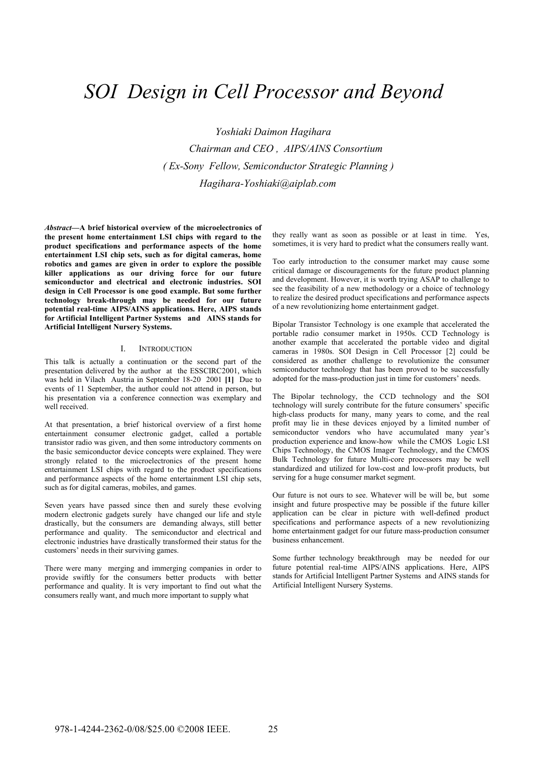# *SOI Design in Cell Processor and Beyond*

*Yoshiaki Daimon Hagihara Chairman and CEO , AIPS/AINS Consortium ( Ex-Sony Fellow, Semiconductor Strategic Planning ) Hagihara-Yoshiaki@aiplab.com*

*Abstract***—A brief historical overview of the microelectronics of the present home entertainment LSI chips with regard to the product specifications and performance aspects of the home entertainment LSI chip sets, such as for digital cameras, home robotics and games are given in order to explore the possible killer applications as our driving force for our future semiconductor and electrical and electronic industries. SOI design in Cell Processor is one good example. But some further technology break-through may be needed for our future potential real-time AIPS/AINS applications. Here, AIPS stands for Artificial Intelligent Partner Systems and AINS stands for Artificial Intelligent Nursery Systems.** 

#### I. INTRODUCTION

This talk is actually a continuation or the second part of the presentation delivered by the author at the ESSCIRC2001, which was held in Vilach Austria in September 18-20 2001 **[1]** Due to events of 11 September, the author could not attend in person, but his presentation via a conference connection was exemplary and well received.

At that presentation, a brief historical overview of a first home entertainment consumer electronic gadget, called a portable transistor radio was given, and then some introductory comments on the basic semiconductor device concepts were explained. They were strongly related to the microelectronics of the present home entertainment LSI chips with regard to the product specifications and performance aspects of the home entertainment LSI chip sets, such as for digital cameras, mobiles, and games.

Seven years have passed since then and surely these evolving modern electronic gadgets surely have changed our life and style drastically, but the consumers are demanding always, still better performance and quality. The semiconductor and electrical and electronic industries have drastically transformed their status for the customers' needs in their surviving games.

There were many merging and immerging companies in order to provide swiftly for the consumers better products with better performance and quality. It is very important to find out what the consumers really want, and much more important to supply what

they really want as soon as possible or at least in time. Yes, sometimes, it is very hard to predict what the consumers really want.

Too early introduction to the consumer market may cause some critical damage or discouragements for the future product planning and development. However, it is worth trying ASAP to challenge to see the feasibility of a new methodology or a choice of technology to realize the desired product specifications and performance aspects of a new revolutionizing home entertainment gadget.

Bipolar Transistor Technology is one example that accelerated the portable radio consumer market in 1950s. CCD Technology is another example that accelerated the portable video and digital cameras in 1980s. SOI Design in Cell Processor [2] could be considered as another challenge to revolutionize the consumer semiconductor technology that has been proved to be successfully adopted for the mass-production just in time for customers' needs.

The Bipolar technology, the CCD technology and the SOI technology will surely contribute for the future consumers' specific high-class products for many, many years to come, and the real profit may lie in these devices enjoyed by a limited number of semiconductor vendors who have accumulated many year's production experience and know-how while the CMOS Logic LSI Chips Technology, the CMOS Imager Technology, and the CMOS Bulk Technology for future Multi-core processors may be well standardized and utilized for low-cost and low-profit products, but serving for a huge consumer market segment.

Our future is not ours to see. Whatever will be will be, but some insight and future prospective may be possible if the future killer application can be clear in picture with well-defined product specifications and performance aspects of a new revolutionizing home entertainment gadget for our future mass-production consumer business enhancement.

Some further technology breakthrough may be needed for our future potential real-time AIPS/AINS applications. Here, AIPS stands for Artificial Intelligent Partner Systems and AINS stands for Artificial Intelligent Nursery Systems.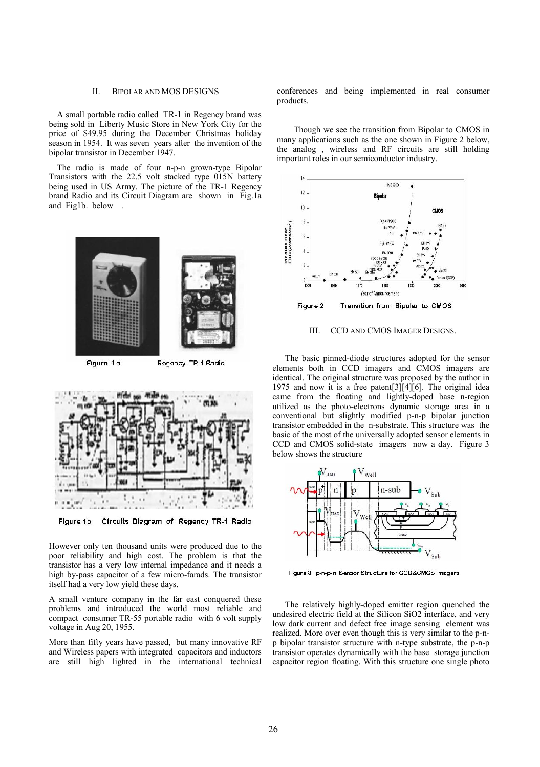## II. BIPOLAR AND MOS DESIGNS

A small portable radio called TR-1 in Regency brand was being sold in Liberty Music Store in New York City for the price of \$49.95 during the December Christmas holiday season in 1954. It was seven years after the invention of the bipolar transistor in December 1947.

The radio is made of four n-p-n grown-type Bipolar Transistors with the 22.5 volt stacked type 015N battery being used in US Army. The picture of the TR-1 Regency brand Radio and its Circuit Diagram are shown in Fig.1a and Fig1b. below .



Figure 1 a

Regency TR-1 Radio



Circuits Diagram of Regency TR-1 Radio Figure 1b

However only ten thousand units were produced due to the poor reliability and high cost. The problem is that the transistor has a very low internal impedance and it needs a high by-pass capacitor of a few micro-farads. The transistor itself had a very low yield these days.

A small venture company in the far east conquered these problems and introduced the world most reliable and compact consumer TR-55 portable radio with 6 volt supply voltage in Aug 20, 1955.

More than fifty years have passed, but many innovative RF and Wireless papers with integrated capacitors and inductors are still high lighted in the international technical conferences and being implemented in real consumer products.

Though we see the transition from Bipolar to CMOS in many applications such as the one shown in Figure 2 below, the analog , wireless and RF circuits are still holding important roles in our semiconductor industry.



III. CCD AND CMOS IMAGER DESIGNS.

The basic pinned-diode structures adopted for the sensor elements both in CCD imagers and CMOS imagers are identical. The original structure was proposed by the author in 1975 and now it is a free patent[3][4][6]. The original idea came from the floating and lightly-doped base n-region utilized as the photo-electrons dynamic storage area in a conventional but slightly modified p-n-p bipolar junction transistor embedded in the n-substrate. This structure was the basic of the most of the universally adopted sensor elements in CCD and CMOS solid-state imagers now a day. Figure 3 below shows the structure



Figure 3 p-n-p-n Sensor Structure for CCD&CMOS Imagers

The relatively highly-doped emitter region quenched the undesired electric field at the Silicon SiO2 interface, and very low dark current and defect free image sensing element was realized. More over even though this is very similar to the p-np bipolar transistor structure with n-type substrate, the p-n-p transistor operates dynamically with the base storage junction capacitor region floating. With this structure one single photo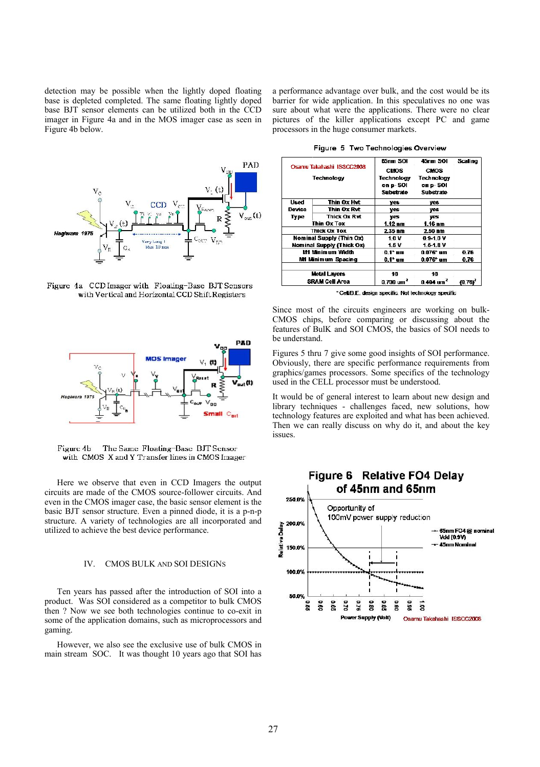detection may be possible when the lightly doped floating base is depleted completed. The same floating lightly doped base BJT sensor elements can be utilized both in the CCD imager in Figure 4a and in the MOS imager case as seen in Figure 4b below.



Figure 1a CCD Imager with Floating-Base BJT Sensors with Vertical and Horizontal CCD Shift Registers



Figure 1b The Same Floating-Base BJT Sensor with CMOS X and Y Transfer lines in CMOS Imager

Here we observe that even in CCD Imagers the output circuits are made of the CMOS source-follower circuits. And even in the CMOS imager case, the basic sensor element is the basic BJT sensor structure. Even a pinned diode, it is a p-n-p structure. A variety of technologies are all incorporated and utilized to achieve the best device performance.

#### IV. CMOS BULK AND SOI DESIGNS

Ten years has passed after the introduction of SOI into a product. Was SOI considered as a competitor to bulk CMOS then ? Now we see both technologies continue to co-exit in some of the application domains, such as microprocessors and gaming.

However, we also see the exclusive use of bulk CMOS in main stream SOC. It was thought 10 years ago that SOI has a performance advantage over bulk, and the cost would be its barrier for wide application. In this speculatives no one was sure about what were the applications. There were no clear pictures of the killer applications except PC and game processors in the huge consumer markets.

Figure 5 Two Technologies Overview

| Osamu Takahashi ISSCC2008<br>Technology |              | 65nm 501<br><b>CMOS</b><br>Technology<br>on p-SOI<br>Substrate | 45nm 501<br><b>CMOS</b><br>Technology<br>on p-SOI<br><b>Substrate</b> | <b>Scaling</b> |
|-----------------------------------------|--------------|----------------------------------------------------------------|-----------------------------------------------------------------------|----------------|
| Used                                    | Thin Ox Hvt  | yes                                                            | yes                                                                   |                |
| Device                                  | Thin Ox Rvt  | yes                                                            | yes                                                                   |                |
| Type                                    | Thick Ox Rvt | ves                                                            | ves                                                                   |                |
| Thin Ox Tox                             |              | $1.12 \text{ nm}$                                              | $1.16$ nm                                                             |                |
| <b>Thick Ox Tox</b>                     |              | $2.35$ nm                                                      | $2.50$ nm                                                             |                |
| Nominal Supply (Thin Ox)                |              | 1 N V                                                          | <b>0910V</b>                                                          |                |
| Nominal Supply (Thick Ox)               |              | 1.5V                                                           | $1.5 - 1.8$ V                                                         |                |
| M1 Minimum Width                        |              | $0.1$ * um                                                     | $0.076$ * um                                                          | 0.76           |
| MI Minimum Spacing                      |              | 0.1* um                                                        | $0.076$ <sup>+</sup> um                                               | 0.76           |
| Metal Lavers                            |              | 10                                                             | 10                                                                    |                |
| <b>SRAM Cell Area</b>                   |              | $0.700 \text{ nm}^2$                                           | $0.404$ um <sup>2</sup>                                               | (0.76)         |

\* Cell/B.E. design specific. Not technology specific

Since most of the circuits engineers are working on bulk-CMOS chips, before comparing or discussing about the features of BulK and SOI CMOS, the basics of SOI needs to be understand.

Figures 5 thru 7 give some good insights of SOI performance. Obviously, there are specific performance requirements from graphics/games processors. Some specifics of the technology used in the CELL processor must be understood.

It would be of general interest to learn about new design and library techniques - challenges faced, new solutions, how technology features are exploited and what has been achieved. Then we can really discuss on why do it, and about the key issues.

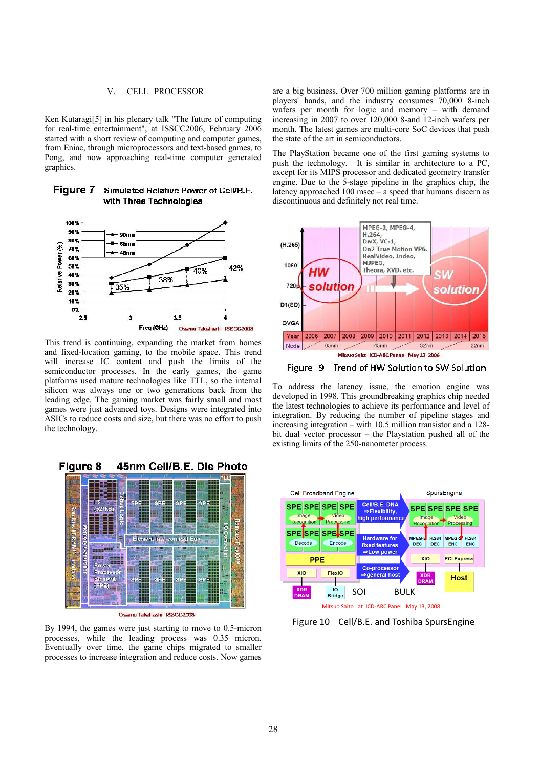## V. CELL PROCESSOR

Ken Kutaragi[5] in his plenary talk "The future of computing for real-time entertainment", at ISSCC2006, February 2006 started with a short review of computing and computer games, from Eniac, through microprocessors and text-based games, to Pong, and now approaching real-time computer generated graphics.

Figure 7 Simulated Relative Power of Cell/B.E. with Three Technologies



This trend is continuing, expanding the market from homes and fixed-location gaming, to the mobile space. This trend will increase IC content and push the limits of the semiconductor processes. In the early games, the game platforms used mature technologies like TTL, so the internal silicon was always one or two generations back from the leading edge. The gaming market was fairly small and most games were just advanced toys. Designs were integrated into ASICs to reduce costs and size, but there was no effort to push the technology.

Figure 8 45nm Cell/B.E. Die Photo 1521kB 酾 enco. ect | mm 饆 ш **is**  $R<sub>1</sub>$ Hement t SF  $\mathbf{H}_{\text{max}}$ 

Osamu Takahashi ISSCC2008

By 1994, the games were just starting to move to 0.5-micron processes, while the leading process was 0.35 micron. Eventually over time, the game chips migrated to smaller processes to increase integration and reduce costs. Now games

are a big business, Over 700 million gaming platforms are in players' hands, and the industry consumes 70,000 8-inch wafers per month for logic and memory – with demand increasing in 2007 to over 120,000 8-and 12-inch wafers per month. The latest games are multi-core SoC devices that push the state of the art in semiconductors.

The PlayStation became one of the first gaming systems to push the technology. It is similar in architecture to a PC, except for its MIPS processor and dedicated geometry transfer engine. Due to the 5-stage pipeline in the graphics chip, the latency approached 100 msec – a speed that humans discern as discontinuous and definitely not real time.



Figure 9 Trend of HW Solution to SW Solution

To address the latency issue, the emotion engine was developed in 1998. This groundbreaking graphics chip needed the latest technologies to achieve its performance and level of integration. By reducing the number of pipeline stages and increasing integration – with 10.5 million transistor and a 128 bit dual vector processor – the Playstation pushed all of the existing limits of the 250-nanometer process.



Figure 10 Cell/B.E. and Toshiba SpursEngine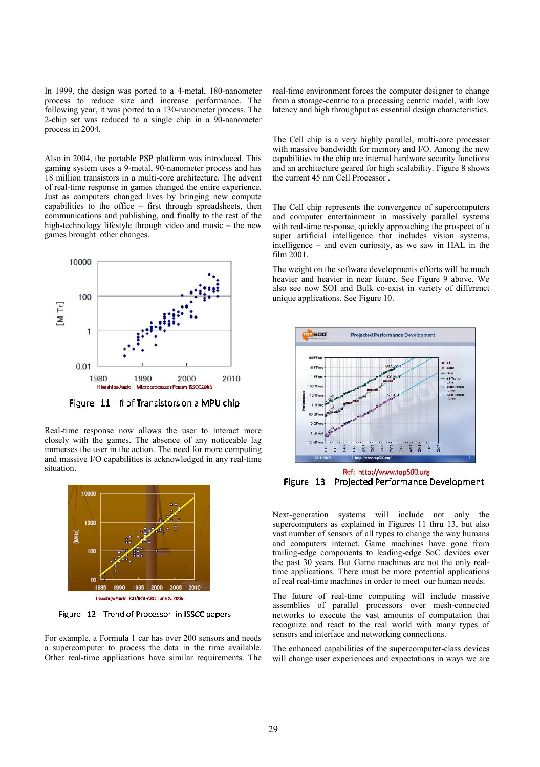In 1999, the design was ported to a 4-metal, 180-nanometer process to reduce size and increase performance. The following year, it was ported to a 130-nanometer process. The 2-chip set was reduced to a single chip in a 90-nanometer process in 2004.

Also in 2004, the portable PSP platform was introduced. This gaming system uses a 9-metal, 90-nanometer process and has 18 million transistors in a multi-core architecture. The advent of real-time response in games changed the entire experience. Just as computers changed lives by bringing new compute capabilities to the office – first through spreadsheets, then communications and publishing, and finally to the rest of the high-technology lifestyle through video and music – the new games brought other changes.



Figure 11 # of Transistors on a MPU chip

Real-time response now allows the user to interact more closely with the games. The absence of any noticeable lag immerses the user in the action. The need for more computing and massive I/O capabilities is acknowledged in any real-time situation.



Figure 12 Trend of Processor in ISSCC papers

For example, a Formula 1 car has over 200 sensors and needs a supercomputer to process the data in the time available. Other real-time applications have similar requirements. The real-time environment forces the computer designer to change from a storage-centric to a processing centric model, with low latency and high throughput as essential design characteristics.

The Cell chip is a very highly parallel, multi-core processor with massive bandwidth for memory and I/O. Among the new capabilities in the chip are internal hardware security functions and an architecture geared for high scalability. Figure 8 shows the current 45 nm Cell Processor .

The Cell chip represents the convergence of supercomputers and computer entertainment in massively parallel systems with real-time response, quickly approaching the prospect of a super artificial intelligence that includes vision systems, intelligence – and even curiosity, as we saw in HAL in the film 2001.

The weight on the software developments efforts will be much heavier and heavier in near future. See Figure 9 above. We also see now SOI and Bulk co-exist in variety of differenct unique applications. See Figure 10.



Ref: http://www.top500.org **Projected Performance Development** Figure 13

Next-generation systems will include not only the supercomputers as explained in Figures 11 thru 13, but also vast number of sensors of all types to change the way humans and computers interact. Game machines have gone from trailing-edge components to leading-edge SoC devices over the past 30 years. But Game machines are not the only realtime applications. There must be more potential applications of real real-time machines in order to meet our human needs.

The future of real-time computing will include massive assemblies of parallel processors over mesh-connected networks to execute the vast amounts of computation that recognize and react to the real world with many types of sensors and interface and networking connections.

The enhanced capabilities of the supercomputer-class devices will change user experiences and expectations in ways we are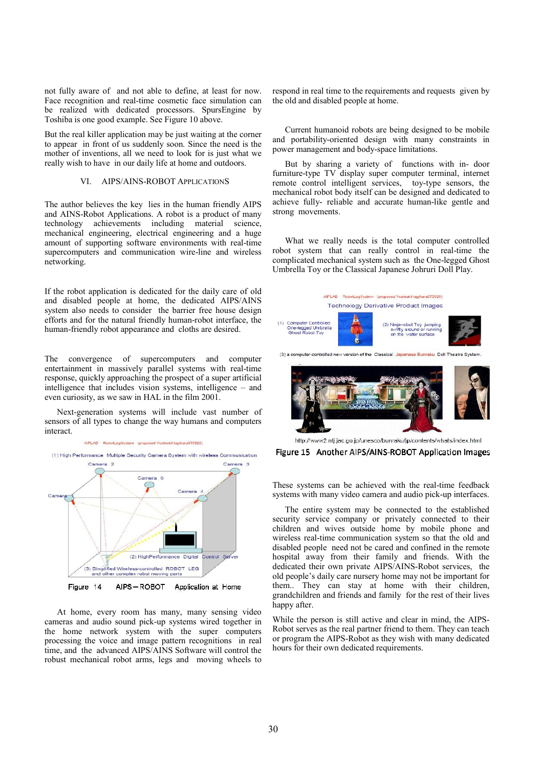not fully aware of and not able to define, at least for now. Face recognition and real-time cosmetic face simulation can be realized with dedicated processors. SpursEngine by Toshiba is one good example. See Figure 10 above.

But the real killer application may be just waiting at the corner to appear in front of us suddenly soon. Since the need is the mother of inventions, all we need to look for is just what we really wish to have in our daily life at home and outdoors.

## VI. AIPS/AINS-ROBOT APPLICATIONS

The author believes the key lies in the human friendly AIPS and AINS-Robot Applications. A robot is a product of many technology achievements including material science, mechanical engineering, electrical engineering and a huge amount of supporting software environments with real-time supercomputers and communication wire-line and wireless networking.

If the robot application is dedicated for the daily care of old and disabled people at home, the dedicated AIPS/AINS system also needs to consider the barrier free house design efforts and for the natural friendly human-robot interface, the human-friendly robot appearance and cloths are desired.

The convergence of supercomputers and computer entertainment in massively parallel systems with real-time response, quickly approaching the prospect of a super artificial intelligence that includes vision systems, intelligence – and even curiosity, as we saw in HAL in the film 2001.

Next-generation systems will include vast number of sensors of all types to change the way humans and computers interact.



At home, every room has many, many sensing video cameras and audio sound pick-up systems wired together in the home network system with the super computers processing the voice and image pattern recognitions in real time, and the advanced AIPS/AINS Software will control the robust mechanical robot arms, legs and moving wheels to respond in real time to the requirements and requests given by the old and disabled people at home.

Current humanoid robots are being designed to be mobile and portability-oriented design with many constraints in power management and body-space limitations.

But by sharing a variety of functions with in- door furniture-type TV display super computer terminal, internet remote control intelligent services, toy-type sensors, the mechanical robot body itself can be designed and dedicated to achieve fully- reliable and accurate human-like gentle and strong movements.

What we really needs is the total computer controlled robot system that can really control in real-time the complicated mechanical system such as the One-legged Ghost Umbrella Toy or the Classical Japanese Johruri Doll Play.



(3) a computer-controlled new version of the Classical Japanese Bunraku Doll Theatre Syste



http://www2.ntj.jac.go.jp/unesco/bunraku/jp/contents/whats/index.html

Figure 15 Another AIPS/AINS-ROBOT Application Images

These systems can be achieved with the real-time feedback systems with many video camera and audio pick-up interfaces.

The entire system may be connected to the established security service company or privately connected to their children and wives outside home by mobile phone and wireless real-time communication system so that the old and disabled people need not be cared and confined in the remote hospital away from their family and friends. With the dedicated their own private AIPS/AINS-Robot services, the old people's daily care nursery home may not be important for them.. They can stay at home with their children, grandchildren and friends and family for the rest of their lives happy after.

While the person is still active and clear in mind, the AIPS-Robot serves as the real partner friend to them. They can teach or program the AIPS-Robot as they wish with many dedicated hours for their own dedicated requirements.